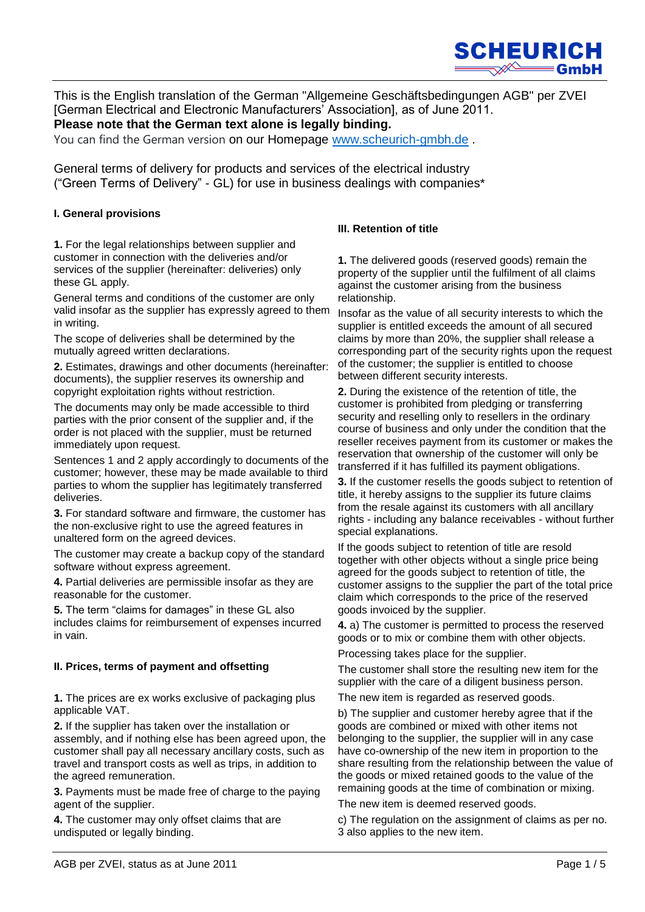

This is the English translation of the German "Allgemeine Geschäftsbedingungen AGB" per ZVEI [German Electrical and Electronic Manufacturers' Association], as of June 2011. **Please note that the German text alone is legally binding.**

You can find the German version on our Homepage [www.scheurich-gmbh.de](http://www.scheurich-gmbh.de/) .

General terms of delivery for products and services of the electrical industry ("Green Terms of Delivery" - GL) for use in business dealings with companies\*

## **I. General provisions**

**1.** For the legal relationships between supplier and customer in connection with the deliveries and/or services of the supplier (hereinafter: deliveries) only these GL apply.

General terms and conditions of the customer are only valid insofar as the supplier has expressly agreed to them in writing.

The scope of deliveries shall be determined by the mutually agreed written declarations.

**2.** Estimates, drawings and other documents (hereinafter: documents), the supplier reserves its ownership and copyright exploitation rights without restriction.

The documents may only be made accessible to third parties with the prior consent of the supplier and, if the order is not placed with the supplier, must be returned immediately upon request.

Sentences 1 and 2 apply accordingly to documents of the customer; however, these may be made available to third parties to whom the supplier has legitimately transferred deliveries.

**3.** For standard software and firmware, the customer has the non-exclusive right to use the agreed features in unaltered form on the agreed devices.

The customer may create a backup copy of the standard software without express agreement.

**4.** Partial deliveries are permissible insofar as they are reasonable for the customer.

**5.** The term "claims for damages" in these GL also includes claims for reimbursement of expenses incurred in vain.

## **II. Prices, terms of payment and offsetting**

**1.** The prices are ex works exclusive of packaging plus applicable VAT.

**2.** If the supplier has taken over the installation or assembly, and if nothing else has been agreed upon, the customer shall pay all necessary ancillary costs, such as travel and transport costs as well as trips, in addition to the agreed remuneration.

**3.** Payments must be made free of charge to the paying agent of the supplier.

**4.** The customer may only offset claims that are undisputed or legally binding.

# **III. Retention of title**

**1.** The delivered goods (reserved goods) remain the property of the supplier until the fulfilment of all claims against the customer arising from the business relationship.

Insofar as the value of all security interests to which the supplier is entitled exceeds the amount of all secured claims by more than 20%, the supplier shall release a corresponding part of the security rights upon the request of the customer; the supplier is entitled to choose between different security interests.

**2.** During the existence of the retention of title, the customer is prohibited from pledging or transferring security and reselling only to resellers in the ordinary course of business and only under the condition that the reseller receives payment from its customer or makes the reservation that ownership of the customer will only be transferred if it has fulfilled its payment obligations.

**3.** If the customer resells the goods subject to retention of title, it hereby assigns to the supplier its future claims from the resale against its customers with all ancillary rights - including any balance receivables - without further special explanations.

If the goods subject to retention of title are resold together with other objects without a single price being agreed for the goods subject to retention of title, the customer assigns to the supplier the part of the total price claim which corresponds to the price of the reserved goods invoiced by the supplier.

**4.** a) The customer is permitted to process the reserved goods or to mix or combine them with other objects.

Processing takes place for the supplier.

The customer shall store the resulting new item for the supplier with the care of a diligent business person.

The new item is regarded as reserved goods.

b) The supplier and customer hereby agree that if the goods are combined or mixed with other items not belonging to the supplier, the supplier will in any case have co-ownership of the new item in proportion to the share resulting from the relationship between the value of the goods or mixed retained goods to the value of the remaining goods at the time of combination or mixing.

The new item is deemed reserved goods.

c) The regulation on the assignment of claims as per no. 3 also applies to the new item.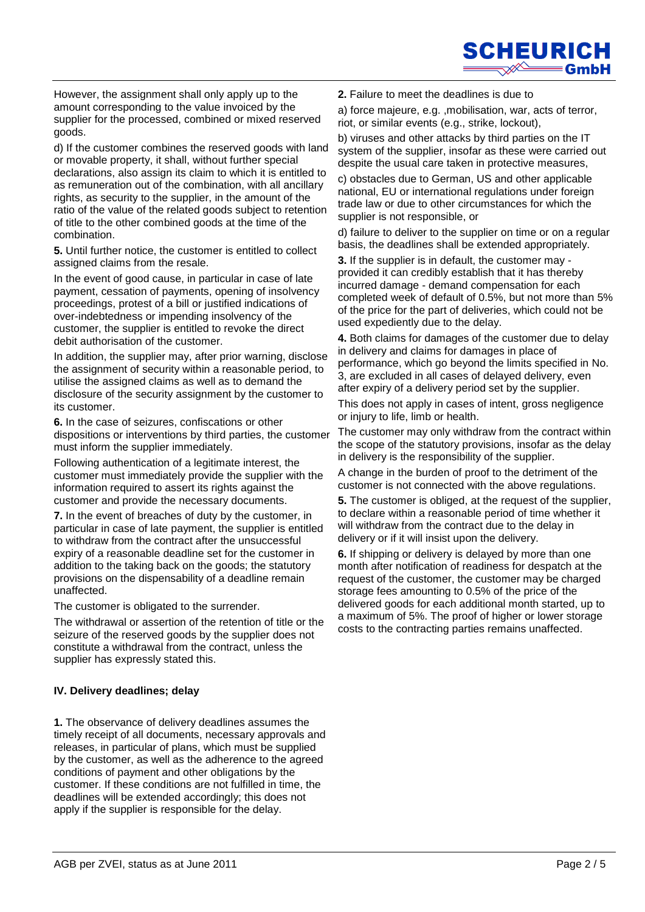

However, the assignment shall only apply up to the amount corresponding to the value invoiced by the supplier for the processed, combined or mixed reserved goods.

d) If the customer combines the reserved goods with land or movable property, it shall, without further special declarations, also assign its claim to which it is entitled to as remuneration out of the combination, with all ancillary rights, as security to the supplier, in the amount of the ratio of the value of the related goods subject to retention of title to the other combined goods at the time of the combination.

**5.** Until further notice, the customer is entitled to collect assigned claims from the resale.

In the event of good cause, in particular in case of late payment, cessation of payments, opening of insolvency proceedings, protest of a bill or justified indications of over-indebtedness or impending insolvency of the customer, the supplier is entitled to revoke the direct debit authorisation of the customer.

In addition, the supplier may, after prior warning, disclose the assignment of security within a reasonable period, to utilise the assigned claims as well as to demand the disclosure of the security assignment by the customer to its customer.

**6.** In the case of seizures, confiscations or other dispositions or interventions by third parties, the customer must inform the supplier immediately.

Following authentication of a legitimate interest, the customer must immediately provide the supplier with the information required to assert its rights against the customer and provide the necessary documents.

**7.** In the event of breaches of duty by the customer, in particular in case of late payment, the supplier is entitled to withdraw from the contract after the unsuccessful expiry of a reasonable deadline set for the customer in addition to the taking back on the goods; the statutory provisions on the dispensability of a deadline remain unaffected.

The customer is obligated to the surrender.

The withdrawal or assertion of the retention of title or the seizure of the reserved goods by the supplier does not constitute a withdrawal from the contract, unless the supplier has expressly stated this.

## **IV. Delivery deadlines; delay**

**1.** The observance of delivery deadlines assumes the timely receipt of all documents, necessary approvals and releases, in particular of plans, which must be supplied by the customer, as well as the adherence to the agreed conditions of payment and other obligations by the customer. If these conditions are not fulfilled in time, the deadlines will be extended accordingly; this does not apply if the supplier is responsible for the delay.

**2.** Failure to meet the deadlines is due to

a) force majeure, e.g. ,mobilisation, war, acts of terror, riot, or similar events (e.g., strike, lockout),

b) viruses and other attacks by third parties on the IT system of the supplier, insofar as these were carried out despite the usual care taken in protective measures,

c) obstacles due to German, US and other applicable national, EU or international regulations under foreign trade law or due to other circumstances for which the supplier is not responsible, or

d) failure to deliver to the supplier on time or on a regular basis, the deadlines shall be extended appropriately.

**3.** If the supplier is in default, the customer may provided it can credibly establish that it has thereby incurred damage - demand compensation for each completed week of default of 0.5%, but not more than 5% of the price for the part of deliveries, which could not be used expediently due to the delay.

**4.** Both claims for damages of the customer due to delay in delivery and claims for damages in place of performance, which go beyond the limits specified in No. 3, are excluded in all cases of delayed delivery, even after expiry of a delivery period set by the supplier.

This does not apply in cases of intent, gross negligence or injury to life, limb or health.

The customer may only withdraw from the contract within the scope of the statutory provisions, insofar as the delay in delivery is the responsibility of the supplier.

A change in the burden of proof to the detriment of the customer is not connected with the above regulations.

**5.** The customer is obliged, at the request of the supplier, to declare within a reasonable period of time whether it will withdraw from the contract due to the delay in delivery or if it will insist upon the delivery.

**6.** If shipping or delivery is delayed by more than one month after notification of readiness for despatch at the request of the customer, the customer may be charged storage fees amounting to 0.5% of the price of the delivered goods for each additional month started, up to a maximum of 5%. The proof of higher or lower storage costs to the contracting parties remains unaffected.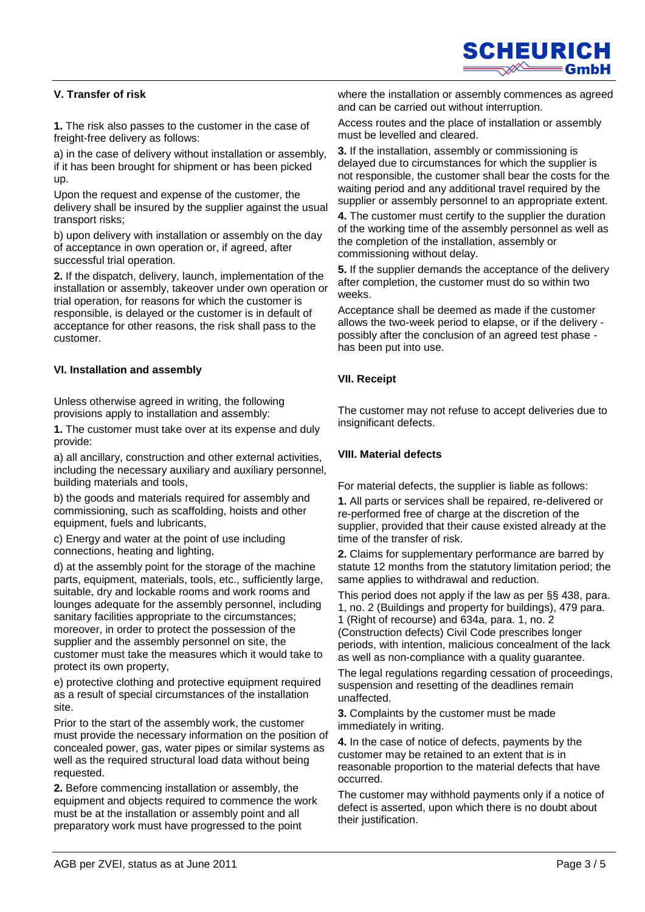

# **V. Transfer of risk**

**1.** The risk also passes to the customer in the case of freight-free delivery as follows:

a) in the case of delivery without installation or assembly, if it has been brought for shipment or has been picked up.

Upon the request and expense of the customer, the delivery shall be insured by the supplier against the usual transport risks;

b) upon delivery with installation or assembly on the day of acceptance in own operation or, if agreed, after successful trial operation.

**2.** If the dispatch, delivery, launch, implementation of the installation or assembly, takeover under own operation or trial operation, for reasons for which the customer is responsible, is delayed or the customer is in default of acceptance for other reasons, the risk shall pass to the customer.

### **VI. Installation and assembly**

Unless otherwise agreed in writing, the following provisions apply to installation and assembly:

**1.** The customer must take over at its expense and duly provide:

a) all ancillary, construction and other external activities, including the necessary auxiliary and auxiliary personnel, building materials and tools,

b) the goods and materials required for assembly and commissioning, such as scaffolding, hoists and other equipment, fuels and lubricants,

c) Energy and water at the point of use including connections, heating and lighting,

d) at the assembly point for the storage of the machine parts, equipment, materials, tools, etc., sufficiently large, suitable, dry and lockable rooms and work rooms and lounges adequate for the assembly personnel, including sanitary facilities appropriate to the circumstances; moreover, in order to protect the possession of the supplier and the assembly personnel on site, the customer must take the measures which it would take to protect its own property,

e) protective clothing and protective equipment required as a result of special circumstances of the installation site.

Prior to the start of the assembly work, the customer must provide the necessary information on the position of concealed power, gas, water pipes or similar systems as well as the required structural load data without being requested.

**2.** Before commencing installation or assembly, the equipment and objects required to commence the work must be at the installation or assembly point and all preparatory work must have progressed to the point

where the installation or assembly commences as agreed and can be carried out without interruption.

Access routes and the place of installation or assembly must be levelled and cleared.

**3.** If the installation, assembly or commissioning is delayed due to circumstances for which the supplier is not responsible, the customer shall bear the costs for the waiting period and any additional travel required by the supplier or assembly personnel to an appropriate extent.

**4.** The customer must certify to the supplier the duration of the working time of the assembly personnel as well as the completion of the installation, assembly or commissioning without delay.

**5.** If the supplier demands the acceptance of the delivery after completion, the customer must do so within two weeks.

Acceptance shall be deemed as made if the customer allows the two-week period to elapse, or if the delivery possibly after the conclusion of an agreed test phase has been put into use.

### **VII. Receipt**

The customer may not refuse to accept deliveries due to insignificant defects.

### **VIII. Material defects**

For material defects, the supplier is liable as follows:

**1.** All parts or services shall be repaired, re-delivered or re-performed free of charge at the discretion of the supplier, provided that their cause existed already at the time of the transfer of risk.

**2.** Claims for supplementary performance are barred by statute 12 months from the statutory limitation period; the same applies to withdrawal and reduction.

This period does not apply if the law as per §§ 438, para. 1, no. 2 (Buildings and property for buildings), 479 para. 1 (Right of recourse) and 634a, para. 1, no. 2 (Construction defects) Civil Code prescribes longer periods, with intention, malicious concealment of the lack as well as non-compliance with a quality guarantee.

The legal regulations regarding cessation of proceedings, suspension and resetting of the deadlines remain unaffected.

**3.** Complaints by the customer must be made immediately in writing.

**4.** In the case of notice of defects, payments by the customer may be retained to an extent that is in reasonable proportion to the material defects that have occurred.

The customer may withhold payments only if a notice of defect is asserted, upon which there is no doubt about their justification.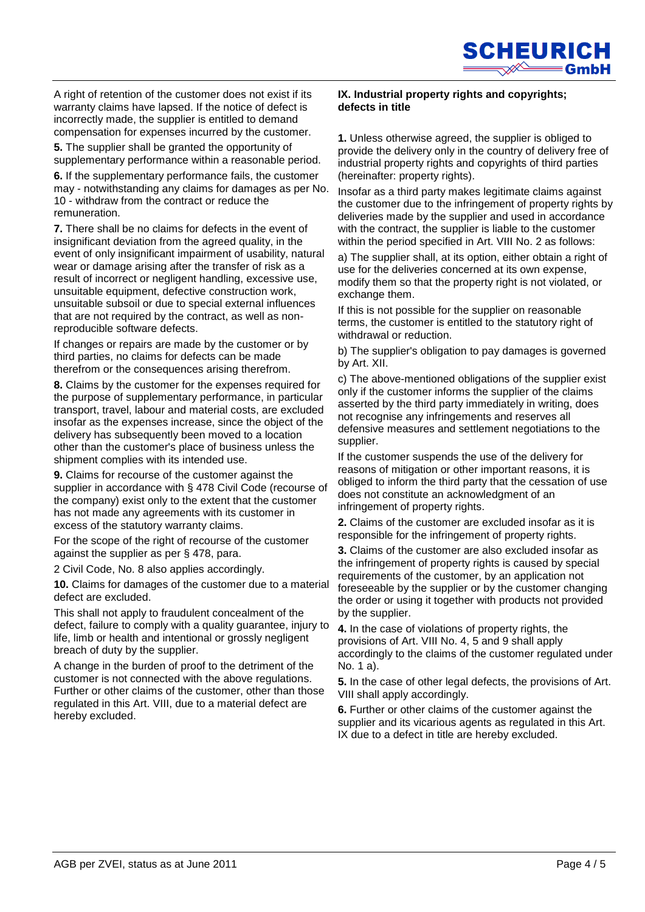

A right of retention of the customer does not exist if its warranty claims have lapsed. If the notice of defect is incorrectly made, the supplier is entitled to demand compensation for expenses incurred by the customer.

**5.** The supplier shall be granted the opportunity of supplementary performance within a reasonable period.

**6.** If the supplementary performance fails, the customer may - notwithstanding any claims for damages as per No. 10 - withdraw from the contract or reduce the remuneration.

**7.** There shall be no claims for defects in the event of insignificant deviation from the agreed quality, in the event of only insignificant impairment of usability, natural wear or damage arising after the transfer of risk as a result of incorrect or negligent handling, excessive use, unsuitable equipment, defective construction work, unsuitable subsoil or due to special external influences that are not required by the contract, as well as nonreproducible software defects.

If changes or repairs are made by the customer or by third parties, no claims for defects can be made therefrom or the consequences arising therefrom.

**8.** Claims by the customer for the expenses required for the purpose of supplementary performance, in particular transport, travel, labour and material costs, are excluded insofar as the expenses increase, since the object of the delivery has subsequently been moved to a location other than the customer's place of business unless the shipment complies with its intended use.

**9.** Claims for recourse of the customer against the supplier in accordance with § 478 Civil Code (recourse of the company) exist only to the extent that the customer has not made any agreements with its customer in excess of the statutory warranty claims.

For the scope of the right of recourse of the customer against the supplier as per § 478, para.

2 Civil Code, No. 8 also applies accordingly.

**10.** Claims for damages of the customer due to a material defect are excluded.

This shall not apply to fraudulent concealment of the defect, failure to comply with a quality guarantee, injury to life, limb or health and intentional or grossly negligent breach of duty by the supplier.

A change in the burden of proof to the detriment of the customer is not connected with the above regulations. Further or other claims of the customer, other than those regulated in this Art. VIII, due to a material defect are hereby excluded.

#### **IX. Industrial property rights and copyrights; defects in title**

**1.** Unless otherwise agreed, the supplier is obliged to provide the delivery only in the country of delivery free of industrial property rights and copyrights of third parties (hereinafter: property rights).

Insofar as a third party makes legitimate claims against the customer due to the infringement of property rights by deliveries made by the supplier and used in accordance with the contract, the supplier is liable to the customer within the period specified in Art. VIII No. 2 as follows:

a) The supplier shall, at its option, either obtain a right of use for the deliveries concerned at its own expense, modify them so that the property right is not violated, or exchange them.

If this is not possible for the supplier on reasonable terms, the customer is entitled to the statutory right of withdrawal or reduction.

b) The supplier's obligation to pay damages is governed by Art. XII.

c) The above-mentioned obligations of the supplier exist only if the customer informs the supplier of the claims asserted by the third party immediately in writing, does not recognise any infringements and reserves all defensive measures and settlement negotiations to the supplier.

If the customer suspends the use of the delivery for reasons of mitigation or other important reasons, it is obliged to inform the third party that the cessation of use does not constitute an acknowledgment of an infringement of property rights.

**2.** Claims of the customer are excluded insofar as it is responsible for the infringement of property rights.

**3.** Claims of the customer are also excluded insofar as the infringement of property rights is caused by special requirements of the customer, by an application not foreseeable by the supplier or by the customer changing the order or using it together with products not provided by the supplier.

**4.** In the case of violations of property rights, the provisions of Art. VIII No. 4, 5 and 9 shall apply accordingly to the claims of the customer regulated under No. 1 a).

**5.** In the case of other legal defects, the provisions of Art. VIII shall apply accordingly.

**6.** Further or other claims of the customer against the supplier and its vicarious agents as regulated in this Art. IX due to a defect in title are hereby excluded.